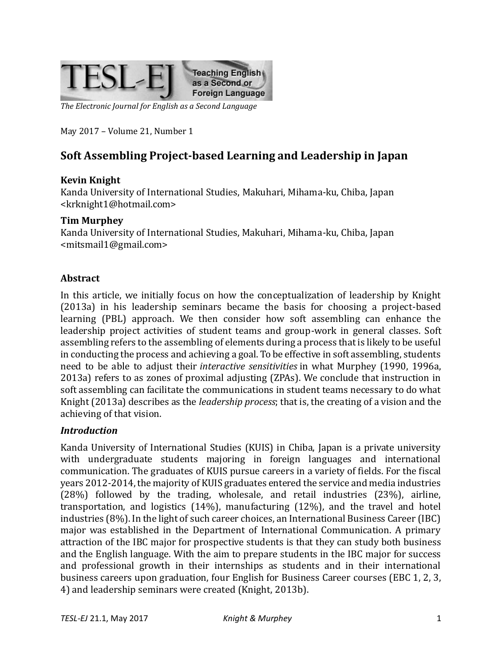

*The Electronic Journal for English as a Second Language*

May 2017 – Volume 21, Number 1

# **Soft Assembling Project-based Learning and Leadership in Japan**

### **Kevin Knight**

Kanda University of International Studies, Makuhari, Mihama-ku, Chiba, Japan <krknight1@hotmail.com>

### **Tim Murphey**

Kanda University of International Studies, Makuhari, Mihama-ku, Chiba, Japan <mitsmail1@gmail.com>

### **Abstract**

In this article, we initially focus on how the conceptualization of leadership by Knight (2013a) in his leadership seminars became the basis for choosing a project-based learning (PBL) approach. We then consider how soft assembling can enhance the leadership project activities of student teams and group-work in general classes. Soft assembling refers to the assembling of elements during a process that is likely to be useful in conducting the process and achieving a goal. To be effective in soft assembling, students need to be able to adjust their *interactive sensitivities* in what Murphey (1990, 1996a, 2013a) refers to as zones of proximal adjusting (ZPAs). We conclude that instruction in soft assembling can facilitate the communications in student teams necessary to do what Knight (2013a) describes as the *leadership process*; that is, the creating of a vision and the achieving of that vision.

### *Introduction*

Kanda University of International Studies (KUIS) in Chiba, Japan is a private university with undergraduate students majoring in foreign languages and international communication. The graduates of KUIS pursue careers in a variety of fields. For the fiscal years 2012-2014, the majority of KUIS graduates entered the service and media industries (28%) followed by the trading, wholesale, and retail industries (23%), airline, transportation, and logistics (14%), manufacturing (12%), and the travel and hotel industries (8%). In the light of such career choices, an International Business Career (IBC) major was established in the Department of International Communication. A primary attraction of the IBC major for prospective students is that they can study both business and the English language. With the aim to prepare students in the IBC major for success and professional growth in their internships as students and in their international business careers upon graduation, four English for Business Career courses (EBC 1, 2, 3, 4) and leadership seminars were created (Knight, 2013b).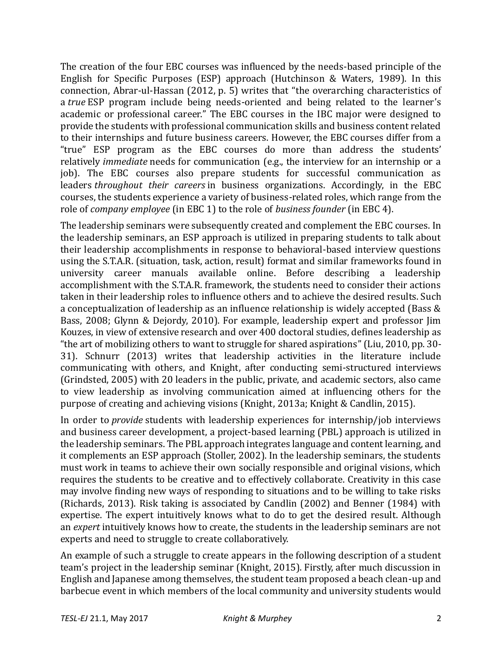The creation of the four EBC courses was influenced by the needs-based principle of the English for Specific Purposes (ESP) approach (Hutchinson & Waters, 1989). In this connection, Abrar-ul-Hassan (2012, p. 5) writes that "the overarching characteristics of a *true* ESP program include being needs-oriented and being related to the learner's academic or professional career." The EBC courses in the IBC major were designed to provide the students with professional communication skills and business content related to their internships and future business careers. However, the EBC courses differ from a "true" ESP program as the EBC courses do more than address the students' relatively *immediate* needs for communication (e.g., the interview for an internship or a job). The EBC courses also prepare students for successful communication as leaders *throughout their careers* in business organizations. Accordingly, in the EBC courses, the students experience a variety of business-related roles, which range from the role of *company employee* (in EBC 1) to the role of *business founder* (in EBC 4).

The leadership seminars were subsequently created and complement the EBC courses. In the leadership seminars, an ESP approach is utilized in preparing students to talk about their leadership accomplishments in response to behavioral-based interview questions using the S.T.A.R. (situation, task, action, result) format and similar frameworks found in university career manuals available online. Before describing a leadership accomplishment with the S.T.A.R. framework, the students need to consider their actions taken in their leadership roles to influence others and to achieve the desired results. Such a conceptualization of leadership as an influence relationship is widely accepted (Bass & Bass, 2008; Glynn & Dejordy, 2010). For example, leadership expert and professor Jim Kouzes, in view of extensive research and over 400 doctoral studies, defines leadership as "the art of mobilizing others to want to struggle for shared aspirations" (Liu, 2010, pp. 30- 31). Schnurr (2013) writes that leadership activities in the literature include communicating with others, and Knight, after conducting semi-structured interviews (Grindsted, 2005) with 20 leaders in the public, private, and academic sectors, also came to view leadership as involving communication aimed at influencing others for the purpose of creating and achieving visions (Knight, 2013a; Knight & Candlin, 2015).

In order to *provide* students with leadership experiences for internship/job interviews and business career development, a project-based learning (PBL) approach is utilized in the leadership seminars. The PBL approach integrates language and content learning, and it complements an ESP approach (Stoller, 2002). In the leadership seminars, the students must work in teams to achieve their own socially responsible and original visions, which requires the students to be creative and to effectively collaborate. Creativity in this case may involve finding new ways of responding to situations and to be willing to take risks (Richards, 2013). Risk taking is associated by Candlin (2002) and Benner (1984) with expertise. The expert intuitively knows what to do to get the desired result. Although an *expert* intuitively knows how to create, the students in the leadership seminars are not experts and need to struggle to create collaboratively.

An example of such a struggle to create appears in the following description of a student team's project in the leadership seminar (Knight, 2015). Firstly, after much discussion in English and Japanese among themselves, the student team proposed a beach clean-up and barbecue event in which members of the local community and university students would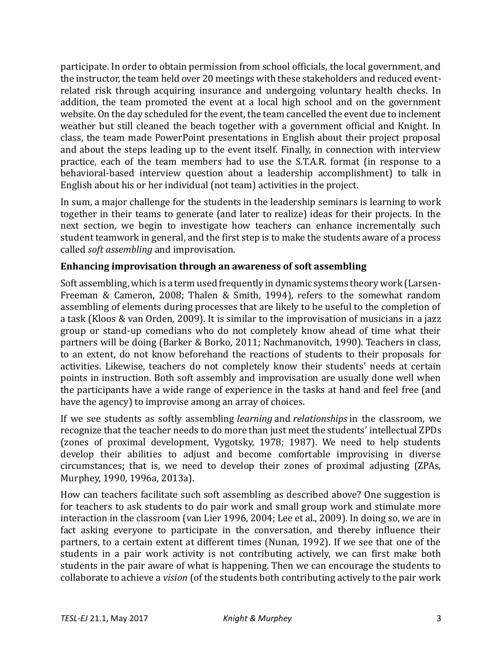participate. In order to obtain permission from school officials, the local government, and the instructor, the team held over 20 meetings with these stakeholders and reduced eventrelated risk through acquiring insurance and undergoing voluntary health checks. In addition, the team promoted the event at a local high school and on the government website. On the day scheduled for the event, the team cancelled the event due to inclement weather but still cleaned the beach together with a government official and Knight. In class, the team made PowerPoint presentations in English about their project proposal and about the steps leading up to the event itself. Finally, in connection with interview practice, each of the team members had to use the S.T.A.R. format (in response to a behavioral-based interview question about a leadership accomplishment) to talk in English about his or her individual (not team) activities in the project.

In sum, a major challenge for the students in the leadership seminars is learning to work together in their teams to generate (and later to realize) ideas for their projects. In the next section, we begin to investigate how teachers can enhance incrementally such student teamwork in general, and the first step is to make the students aware of a process called *soft assembling* and improvisation.

## **Enhancing improvisation through an awareness of soft assembling**

Soft assembling, which is a term used frequently in dynamic systems theory work (Larsen-Freeman & Cameron, 2008; Thalen & Smith, 1994), refers to the somewhat random assembling of elements during processes that are likely to be useful to the completion of a task (Kloos & van Orden, 2009). It is similar to the improvisation of musicians in a jazz group or stand-up comedians who do not completely know ahead of time what their partners will be doing (Barker & Borko, 2011; Nachmanovitch, 1990). Teachers in class, to an extent, do not know beforehand the reactions of students to their proposals for activities. Likewise, teachers do not completely know their students' needs at certain points in instruction. Both soft assembly and improvisation are usually done well when the participants have a wide range of experience in the tasks at hand and feel free (and have the agency) to improvise among an array of choices.

If we see students as softly assembling *learning* and *relationships* in the classroom, we recognize that the teacher needs to do more than just meet the students' intellectual ZPDs (zones of proximal development, Vygotsky, 1978; 1987). We need to help students develop their abilities to adjust and become comfortable improvising in diverse circumstances; that is, we need to develop their zones of proximal adjusting (ZPAs, Murphey, 1990, 1996a, 2013a).

How can teachers facilitate such soft assembling as described above? One suggestion is for teachers to ask students to do pair work and small group work and stimulate more interaction in the classroom (van Lier 1996, 2004; Lee et al., 2009). In doing so, we are in fact asking everyone to participate in the conversation, and thereby influence their partners, to a certain extent at different times (Nunan, 1992). If we see that one of the students in a pair work activity is not contributing actively, we can first make both students in the pair aware of what is happening. Then we can encourage the students to collaborate to achieve a *vision* (of the students both contributing actively to the pair work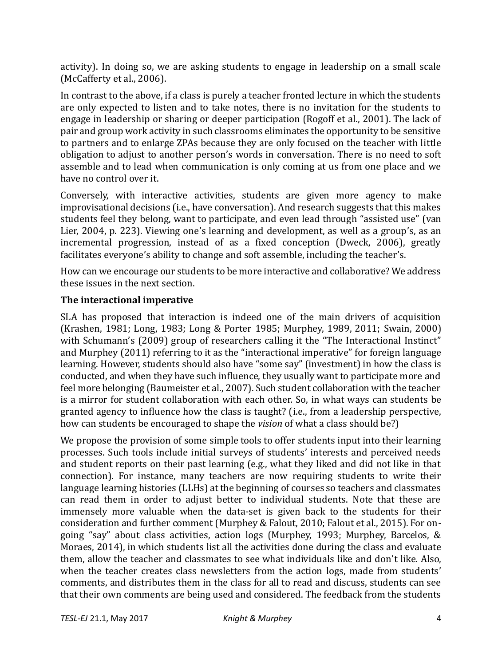activity). In doing so, we are asking students to engage in leadership on a small scale (McCafferty et al., 2006).

In contrast to the above, if a class is purely a teacher fronted lecture in which the students are only expected to listen and to take notes, there is no invitation for the students to engage in leadership or sharing or deeper participation (Rogoff et al., 2001). The lack of pair and group work activity in such classrooms eliminates the opportunity to be sensitive to partners and to enlarge ZPAs because they are only focused on the teacher with little obligation to adjust to another person's words in conversation. There is no need to soft assemble and to lead when communication is only coming at us from one place and we have no control over it.

Conversely, with interactive activities, students are given more agency to make improvisational decisions (i.e., have conversation). And research suggests that this makes students feel they belong, want to participate, and even lead through "assisted use" (van Lier, 2004, p. 223). Viewing one's learning and development, as well as a group's, as an incremental progression, instead of as a fixed conception (Dweck, 2006), greatly facilitates everyone's ability to change and soft assemble, including the teacher's.

How can we encourage our students to be more interactive and collaborative? We address these issues in the next section.

# **The interactional imperative**

SLA has proposed that interaction is indeed one of the main drivers of acquisition (Krashen, 1981; Long, 1983; Long & Porter 1985; Murphey, 1989, 2011; Swain, 2000) with Schumann's (2009) group of researchers calling it the "The Interactional Instinct" and Murphey (2011) referring to it as the "interactional imperative" for foreign language learning. However, students should also have "some say" (investment) in how the class is conducted, and when they have such influence, they usually want to participate more and feel more belonging (Baumeister et al., 2007). Such student collaboration with the teacher is a mirror for student collaboration with each other. So, in what ways can students be granted agency to influence how the class is taught? (i.e., from a leadership perspective, how can students be encouraged to shape the *vision* of what a class should be?)

We propose the provision of some simple tools to offer students input into their learning processes. Such tools include initial surveys of students' interests and perceived needs and student reports on their past learning (e.g., what they liked and did not like in that connection). For instance, many teachers are now requiring students to write their language learning histories (LLHs) at the beginning of courses so teachers and classmates can read them in order to adjust better to individual students. Note that these are immensely more valuable when the data-set is given back to the students for their consideration and further comment (Murphey & Falout, 2010; Falout et al., 2015). For ongoing "say" about class activities, action logs (Murphey, 1993; Murphey, Barcelos, & Moraes, 2014), in which students list all the activities done during the class and evaluate them, allow the teacher and classmates to see what individuals like and don't like. Also, when the teacher creates class newsletters from the action logs, made from students' comments, and distributes them in the class for all to read and discuss, students can see that their own comments are being used and considered. The feedback from the students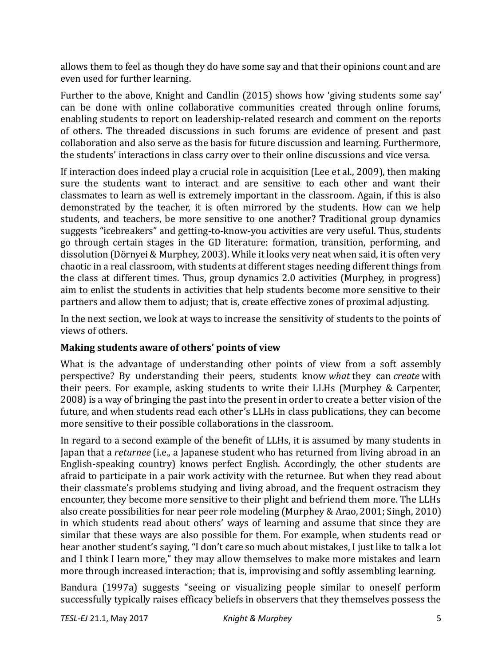allows them to feel as though they do have some say and that their opinions count and are even used for further learning.

Further to the above, Knight and Candlin (2015) shows how 'giving students some say' can be done with online collaborative communities created through online forums, enabling students to report on leadership-related research and comment on the reports of others. The threaded discussions in such forums are evidence of present and past collaboration and also serve as the basis for future discussion and learning. Furthermore, the students' interactions in class carry over to their online discussions and vice versa.

If interaction does indeed play a crucial role in acquisition (Lee et al., 2009), then making sure the students want to interact and are sensitive to each other and want their classmates to learn as well is extremely important in the classroom. Again, if this is also demonstrated by the teacher, it is often mirrored by the students. How can we help students, and teachers, be more sensitive to one another? Traditional group dynamics suggests "icebreakers" and getting-to-know-you activities are very useful. Thus, students go through certain stages in the GD literature: formation, transition, performing, and dissolution (Dörnyei & Murphey, 2003). While it looks very neat when said, it is often very chaotic in a real classroom, with students at different stages needing different things from the class at different times. Thus, group dynamics 2.0 activities (Murphey, in progress) aim to enlist the students in activities that help students become more sensitive to their partners and allow them to adjust; that is, create effective zones of proximal adjusting.

In the next section, we look at ways to increase the sensitivity of students to the points of views of others.

## **Making students aware of others' points of view**

What is the advantage of understanding other points of view from a soft assembly perspective? By understanding their peers, students know *what* they can *create* with their peers. For example, asking students to write their LLHs (Murphey & Carpenter, 2008) is a way of bringing the past into the present in order to create a better vision of the future, and when students read each other's LLHs in class publications, they can become more sensitive to their possible collaborations in the classroom.

In regard to a second example of the benefit of LLHs, it is assumed by many students in Japan that a *returnee* (i.e., a Japanese student who has returned from living abroad in an English-speaking country) knows perfect English. Accordingly, the other students are afraid to participate in a pair work activity with the returnee. But when they read about their classmate's problems studying and living abroad, and the frequent ostracism they encounter, they become more sensitive to their plight and befriend them more. The LLHs also create possibilities for near peer role modeling (Murphey & Arao, 2001; Singh, 2010) in which students read about others' ways of learning and assume that since they are similar that these ways are also possible for them. For example, when students read or hear another student's saying, "I don't care so much about mistakes, I just like to talk a lot and I think I learn more," they may allow themselves to make more mistakes and learn more through increased interaction; that is, improvising and softly assembling learning.

Bandura (1997a) suggests "seeing or visualizing people similar to oneself perform successfully typically raises efficacy beliefs in observers that they themselves possess the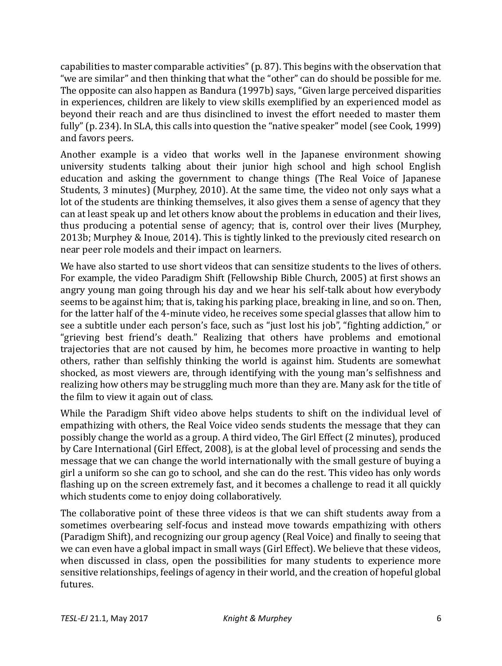capabilities to master comparable activities" (p. 87). This begins with the observation that "we are similar" and then thinking that what the "other" can do should be possible for me. The opposite can also happen as Bandura (1997b) says, "Given large perceived disparities in experiences, children are likely to view skills exemplified by an experienced model as beyond their reach and are thus disinclined to invest the effort needed to master them fully" (p. 234). In SLA, this calls into question the "native speaker" model (see Cook, 1999) and favors peers.

Another example is a video that works well in the Japanese environment showing university students talking about their junior high school and high school English education and asking the government to change things (The Real Voice of Japanese Students, 3 minutes) (Murphey, 2010). At the same time, the video not only says what a lot of the students are thinking themselves, it also gives them a sense of agency that they can at least speak up and let others know about the problems in education and their lives, thus producing a potential sense of agency; that is, control over their lives (Murphey, 2013b; Murphey & Inoue, 2014). This is tightly linked to the previously cited research on near peer role models and their impact on learners.

We have also started to use short videos that can sensitize students to the lives of others. For example, the video Paradigm Shift (Fellowship Bible Church, 2005) at first shows an angry young man going through his day and we hear his self-talk about how everybody seems to be against him; that is, taking his parking place, breaking in line, and so on. Then, for the latter half of the 4-minute video, he receives some special glasses that allow him to see a subtitle under each person's face, such as "just lost his job", "fighting addiction," or "grieving best friend's death." Realizing that others have problems and emotional trajectories that are not caused by him, he becomes more proactive in wanting to help others, rather than selfishly thinking the world is against him. Students are somewhat shocked, as most viewers are, through identifying with the young man's selfishness and realizing how others may be struggling much more than they are. Many ask for the title of the film to view it again out of class.

While the Paradigm Shift video above helps students to shift on the individual level of empathizing with others, the Real Voice video sends students the message that they can possibly change the world as a group. A third video, The Girl Effect (2 minutes), produced by Care International (Girl Effect, 2008), is at the global level of processing and sends the message that we can change the world internationally with the small gesture of buying a girl a uniform so she can go to school, and she can do the rest. This video has only words flashing up on the screen extremely fast, and it becomes a challenge to read it all quickly which students come to enjoy doing collaboratively.

The collaborative point of these three videos is that we can shift students away from a sometimes overbearing self-focus and instead move towards empathizing with others (Paradigm Shift), and recognizing our group agency (Real Voice) and finally to seeing that we can even have a global impact in small ways (Girl Effect). We believe that these videos, when discussed in class, open the possibilities for many students to experience more sensitive relationships, feelings of agency in their world, and the creation of hopeful global futures.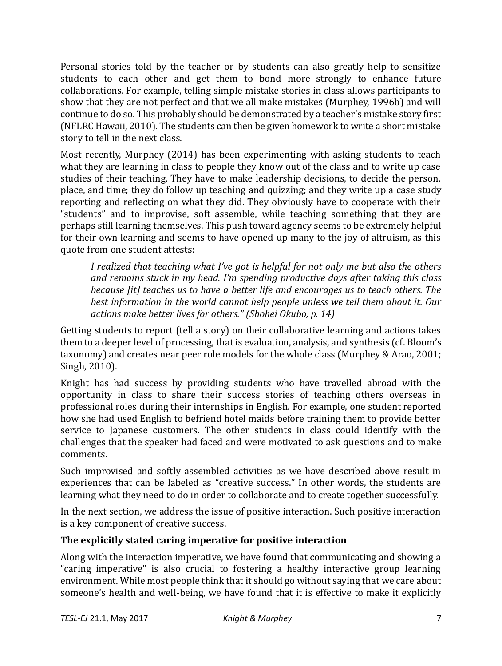Personal stories told by the teacher or by students can also greatly help to sensitize students to each other and get them to bond more strongly to enhance future collaborations. For example, telling simple mistake stories in class allows participants to show that they are not perfect and that we all make mistakes (Murphey, 1996b) and will continue to do so. This probably should be demonstrated by a teacher's mistake story first (NFLRC Hawaii, 2010). The students can then be given homework to write a short mistake story to tell in the next class.

Most recently, Murphey (2014) has been experimenting with asking students to teach what they are learning in class to people they know out of the class and to write up case studies of their teaching. They have to make leadership decisions, to decide the person, place, and time; they do follow up teaching and quizzing; and they write up a case study reporting and reflecting on what they did. They obviously have to cooperate with their "students" and to improvise, soft assemble, while teaching something that they are perhaps still learning themselves. This push toward agency seems to be extremely helpful for their own learning and seems to have opened up many to the joy of altruism, as this quote from one student attests:

*I realized that teaching what I've got is helpful for not only me but also the others and remains stuck in my head. I'm spending productive days after taking this class because [it] teaches us to have a better life and encourages us to teach others. The best information in the world cannot help people unless we tell them about it. Our actions make better lives for others." (Shohei Okubo, p. 14)*

Getting students to report (tell a story) on their collaborative learning and actions takes them to a deeper level of processing, that is evaluation, analysis, and synthesis (cf. Bloom's taxonomy) and creates near peer role models for the whole class (Murphey & Arao, 2001; Singh, 2010).

Knight has had success by providing students who have travelled abroad with the opportunity in class to share their success stories of teaching others overseas in professional roles during their internships in English. For example, one student reported how she had used English to befriend hotel maids before training them to provide better service to Japanese customers. The other students in class could identify with the challenges that the speaker had faced and were motivated to ask questions and to make comments.

Such improvised and softly assembled activities as we have described above result in experiences that can be labeled as "creative success." In other words, the students are learning what they need to do in order to collaborate and to create together successfully.

In the next section, we address the issue of positive interaction. Such positive interaction is a key component of creative success.

## **The explicitly stated caring imperative for positive interaction**

Along with the interaction imperative, we have found that communicating and showing a "caring imperative" is also crucial to fostering a healthy interactive group learning environment. While most people think that it should go without saying that we care about someone's health and well-being, we have found that it is effective to make it explicitly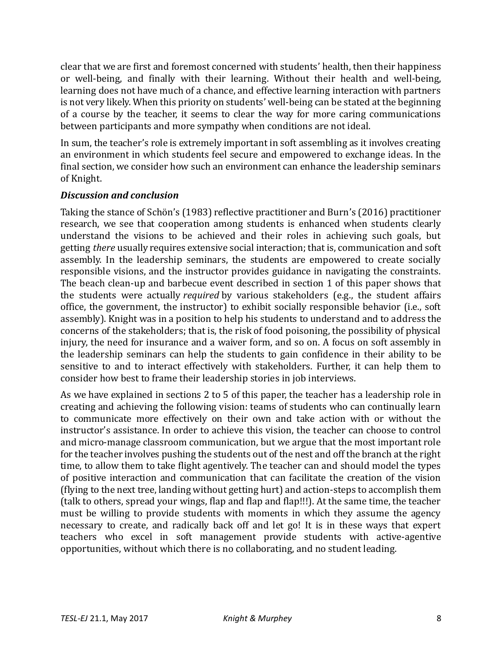clear that we are first and foremost concerned with students' health, then their happiness or well-being, and finally with their learning. Without their health and well-being, learning does not have much of a chance, and effective learning interaction with partners is not very likely. When this priority on students' well-being can be stated at the beginning of a course by the teacher, it seems to clear the way for more caring communications between participants and more sympathy when conditions are not ideal.

In sum, the teacher's role is extremely important in soft assembling as it involves creating an environment in which students feel secure and empowered to exchange ideas. In the final section, we consider how such an environment can enhance the leadership seminars of Knight.

### *Discussion and conclusion*

Taking the stance of Schön's (1983) reflective practitioner and Burn's (2016) practitioner research, we see that cooperation among students is enhanced when students clearly understand the visions to be achieved and their roles in achieving such goals, but getting *there* usually requires extensive social interaction; that is, communication and soft assembly. In the leadership seminars, the students are empowered to create socially responsible visions, and the instructor provides guidance in navigating the constraints. The beach clean-up and barbecue event described in section 1 of this paper shows that the students were actually *required* by various stakeholders (e.g., the student affairs office, the government, the instructor) to exhibit socially responsible behavior (i.e., soft assembly). Knight was in a position to help his students to understand and to address the concerns of the stakeholders; that is, the risk of food poisoning, the possibility of physical injury, the need for insurance and a waiver form, and so on. A focus on soft assembly in the leadership seminars can help the students to gain confidence in their ability to be sensitive to and to interact effectively with stakeholders. Further, it can help them to consider how best to frame their leadership stories in job interviews.

As we have explained in sections 2 to 5 of this paper, the teacher has a leadership role in creating and achieving the following vision: teams of students who can continually learn to communicate more effectively on their own and take action with or without the instructor's assistance. In order to achieve this vision, the teacher can choose to control and micro-manage classroom communication, but we argue that the most important role for the teacher involves pushing the students out of the nest and off the branch at the right time, to allow them to take flight agentively. The teacher can and should model the types of positive interaction and communication that can facilitate the creation of the vision (flying to the next tree, landing without getting hurt) and action-steps to accomplish them (talk to others, spread your wings, flap and flap and flap!!!). At the same time, the teacher must be willing to provide students with moments in which they assume the agency necessary to create, and radically back off and let go! It is in these ways that expert teachers who excel in soft management provide students with active-agentive opportunities, without which there is no collaborating, and no student leading.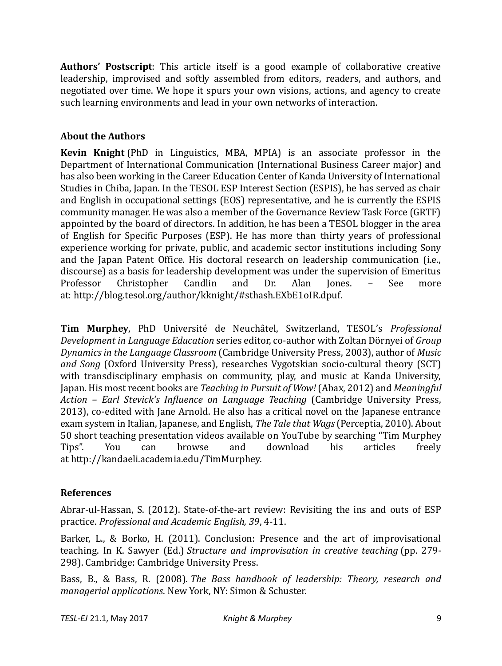**Authors' Postscript**: This article itself is a good example of collaborative creative leadership, improvised and softly assembled from editors, readers, and authors, and negotiated over time. We hope it spurs your own visions, actions, and agency to create such learning environments and lead in your own networks of interaction.

# **About the Authors**

**Kevin Knight** (PhD in Linguistics, MBA, MPIA) is an associate professor in the Department of International Communication (International Business Career major) and has also been working in the Career Education Center of Kanda University of International Studies in Chiba, Japan. In the TESOL ESP Interest Section (ESPIS), he has served as chair and English in occupational settings (EOS) representative, and he is currently the ESPIS community manager. He was also a member of the Governance Review Task Force (GRTF) appointed by the board of directors. In addition, he has been a TESOL blogger in the area of English for Specific Purposes (ESP). He has more than thirty years of professional experience working for private, public, and academic sector institutions including Sony and the Japan Patent Office. His doctoral research on leadership communication (i.e., discourse) as a basis for leadership development was under the supervision of Emeritus Professor Christopher Candlin and Dr. Alan Jones. – See more at: http://blog.tesol.org/author/kknight/#sthash.EXbE1oIR.dpuf.

**Tim Murphey**, PhD Université de Neuchâtel, Switzerland, TESOL's *Professional Development in Language Education* series editor, co-author with Zoltan Dörnyei of *Group Dynamics in the Language Classroom* (Cambridge University Press, 2003), author of *Music and Song* (Oxford University Press), researches Vygotskian socio-cultural theory (SCT) with transdisciplinary emphasis on community, play, and music at Kanda University, Japan. His most recent books are *Teaching in Pursuit of Wow!*(Abax, 2012) and *Meaningful Action – Earl Stevick's Influence on Language Teaching* (Cambridge University Press, 2013), co-edited with Jane Arnold. He also has a critical novel on the Japanese entrance exam system in Italian, Japanese, and English, *The Tale that Wags*(Perceptia, 2010). About 50 short teaching presentation videos available on YouTube by searching "Tim Murphey Tips". You can browse and download his articles freely at [http://kandaeli.academia.edu/TimMurphey.](http://kandaeli.academia.edu/TimMurphey)

# **References**

Abrar-ul-Hassan, S. (2012). State-of-the-art review: Revisiting the ins and outs of ESP practice. *Professional and Academic English, 39*, 4-11.

Barker, L., & Borko, H. (2011). Conclusion: Presence and the art of improvisational teaching. In K. Sawyer (Ed.) *Structure and improvisation in creative teaching* (pp. 279- 298). Cambridge: Cambridge University Press.

Bass, B., & Bass, R. (2008). *The Bass handbook of leadership: Theory, research and managerial applications*. New York, NY: Simon & Schuster.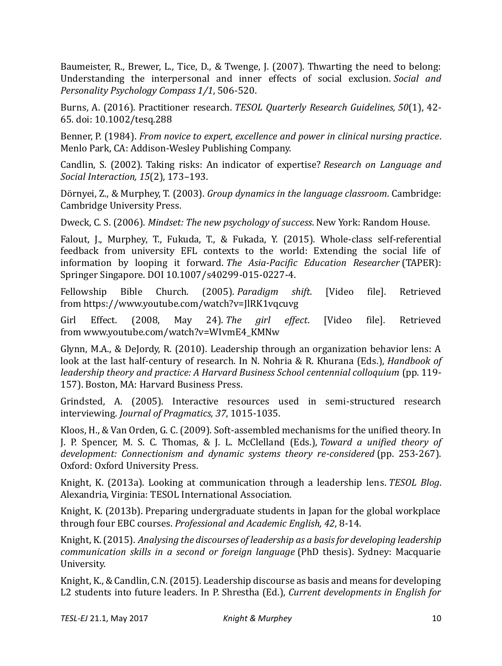Baumeister, R., Brewer, L., Tice, D., & Twenge, J. (2007). Thwarting the need to belong: Understanding the interpersonal and inner effects of social exclusion. *Social and Personality Psychology Compass 1/1*, 506-520.

Burns, A. (2016). Practitioner research. *TESOL Quarterly Research Guidelines, 50*(1), 42- 65. doi: 10.1002/tesq.288

Benner, P. (1984). *From novice to expert, excellence and power in clinical nursing practice*. Menlo Park, CA: Addison-Wesley Publishing Company.

Candlin, S. (2002). Taking risks: An indicator of expertise? *Research on Language and Social Interaction, 15*(2), 173–193.

Dörnyei, Z., & Murphey, T. (2003). *Group dynamics in the language classroom*. Cambridge: Cambridge University Press.

Dweck, C. S. (2006). *Mindset: The new psychology of success*. New York: Random House.

Falout, J., Murphey, T., Fukuda, T., & Fukada, Y. (2015). Whole-class self-referential feedback from university EFL contexts to the world: Extending the social life of information by looping it forward. *The Asia-Pacific Education Researcher* (TAPER): Springer Singapore. DOI 10.1007/s40299-015-0227-4.

Fellowship Bible Church. (2005). *Paradigm shift*. [Video file]. Retrieved from <https://www.youtube.com/watch?v=JlRK1vqcuvg>

Girl Effect. (2008, May 24). *The girl effect*. [Video file]. Retrieved from [www.youtube.com/watch?v=WIvmE4\\_KMNw](http://www.youtube.com/watch?v=WIvmE4_KMNw)

Glynn, M.A., & DeJordy, R. (2010). Leadership through an organization behavior lens: A look at the last half-century of research. In N. Nohria & R. Khurana (Eds.), *Handbook of leadership theory and practice: A Harvard Business School centennial colloquium* (pp. 119- 157). Boston, MA: Harvard Business Press.

Grindsted, A. (2005). Interactive resources used in semi-structured research interviewing. *Journal of Pragmatics, 37*, 1015-1035.

Kloos, H., & Van Orden, G. C. (2009). Soft-assembled mechanisms for the unified theory. In J. P. Spencer, M. S. C. Thomas, & J. L. McClelland (Eds.), *Toward a unified theory of development: Connectionism and dynamic systems theory re-considered* (pp. 253-267). Oxford: Oxford University Press.

Knight, K. (2013a). Looking at communication through a leadership lens. *TESOL Blog*. Alexandria, Virginia: TESOL International Association.

Knight, K. (2013b). Preparing undergraduate students in Japan for the global workplace through four EBC courses. *Professional and Academic English, 42*, 8-14.

Knight, K. (2015). *Analysing the discourses of leadership as a basis for developing leadership communication skills in a second or foreign language* (PhD thesis). Sydney: Macquarie University.

Knight, K., & Candlin, C.N. (2015). Leadership discourse as basis and means for developing L2 students into future leaders. In P. Shrestha (Ed.), *Current developments in English for*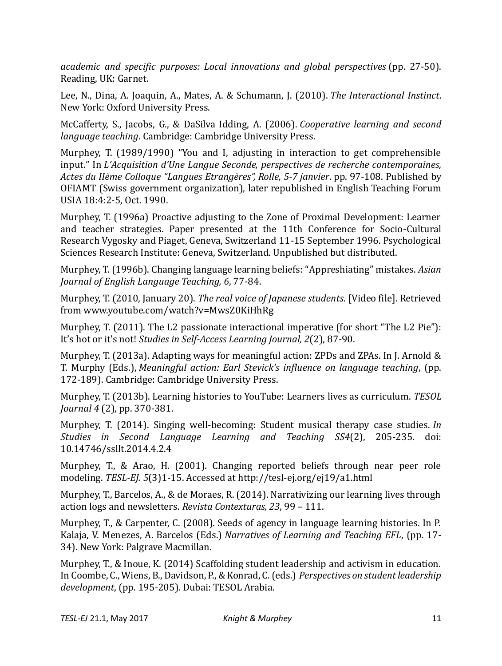*academic and specific purposes: Local innovations and global perspectives* (pp. 27-50). Reading, UK: Garnet.

Lee, N., Dina, A. Joaquin, A., Mates, A. & Schumann, J. (2010). *The Interactional Instinct*. New York: Oxford University Press.

McCafferty, S., Jacobs, G., & DaSilva Idding, A. (2006). *Cooperative learning and second language teaching*. Cambridge: Cambridge University Press.

Murphey, T. (1989/1990) "You and I, adjusting in interaction to get comprehensible input." In *L'Acquisition d'Une Langue Seconde, perspectives de recherche contemporaines, Actes du IIème Colloque "Langues Etrangères", Rolle, 5-7 janvier*. pp. 97-108. Published by OFIAMT (Swiss government organization), later republished in English Teaching Forum USIA 18:4:2-5, Oct. 1990.

Murphey, T. (1996a) Proactive adjusting to the Zone of Proximal Development: Learner and teacher strategies. Paper presented at the 11th Conference for Socio-Cultural Research Vygosky and Piaget, Geneva, Switzerland 11-15 September 1996. Psychological Sciences Research Institute: Geneva, Switzerland. Unpublished but distributed.

Murphey, T. (1996b). Changing language learning beliefs: "Appreshiating" mistakes. *Asian Journal of English Language Teaching, 6*, 77-84.

Murphey, T. (2010, January 20). *The real voice of Japanese students*. [Video file]. Retrieved from [www.youtube.com/watch?v=MwsZ0KiHhRg](http://www.youtube.com/watch?v=MwsZ0KiHhRg)

Murphey, T. (2011). The L2 passionate interactional imperative (for short "The L2 Pie"): It's hot or it's not! *Studies in Self-Access Learning Journal, 2*(2), 87-90.

Murphey, T. (2013a). Adapting ways for meaningful action: ZPDs and ZPAs. In J. Arnold & T. Murphy (Eds.), *Meaningful action: Earl Stevick's influence on language teaching*, (pp. 172-189). Cambridge: Cambridge University Press.

Murphey, T. (2013b). Learning histories to YouTube: Learners lives as curriculum. *TESOL Journal 4* (2), pp. 370-381.

Murphey, T. (2014). Singing well-becoming: Student musical therapy case studies. *In Studies in Second Language Learning and Teaching SS4*(2), 205-235. doi: 10.14746/ssllt.2014.4.2.4

Murphey, T., & Arao, H. (2001). Changing reported beliefs through near peer role modeling. *TESL-EJ. 5*(3)1-15. Accessed at <http://tesl-ej.org/ej19/a1.html>

Murphey, T., Barcelos, A., & de Moraes, R. (2014). Narrativizing our learning lives through action logs and newsletters. *Revista Contexturas, 23*, 99 – 111.

Murphey, T., & Carpenter, C. (2008). Seeds of agency in language learning histories. In P. Kalaja, V. Menezes, A. Barcelos (Eds.) *Narratives of Learning and Teaching EFL*, (pp. 17- 34). New York: Palgrave Macmillan.

Murphey, T., & Inoue, K. (2014) Scaffolding student leadership and activism in education. In Coombe, C., Wiens, B., Davidson, P., & Konrad, C. (eds.) *Perspectives on student leadership development*, (pp. 195-205). Dubai: TESOL Arabia.